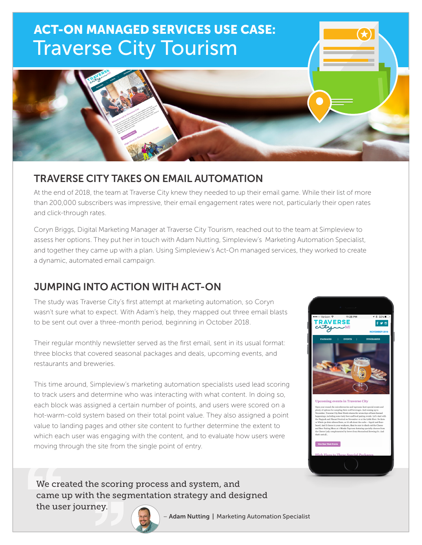

## TRAVERSE CITY TAKES ON EMAIL AUTOMATION

At the end of 2018, the team at Traverse City knew they needed to up their email game. While their list of more than 200,000 subscribers was impressive, their email engagement rates were not, particularly their open rates and click-through rates.

Coryn Briggs, Digital Marketing Manager at Traverse City Tourism, reached out to the team at Simpleview to assess her options. They put her in touch with Adam Nutting, Simpleview's Marketing Automation Specialist, and together they came up with a plan. Using Simpleview's Act-On managed services, they worked to create a dynamic, automated email campaign.

# JUMPING INTO ACTION WITH ACT-ON

The study was Traverse City's first attempt at marketing automation, so Coryn wasn't sure what to expect. With Adam's help, they mapped out three email blasts to be sent out over a three-month period, beginning in October 2018.

Their regular monthly newsletter served as the first email, sent in its usual format: three blocks that covered seasonal packages and deals, upcoming events, and restaurants and breweries.

This time around, Simpleview's marketing automation specialists used lead scoring to track users and determine who was interacting with what content. In doing so, each block was assigned a certain number of points, and users were scored on a hot-warm-cold system based on their total point value. They also assigned a point value to landing pages and other site content to further determine the extent to which each user was engaging with the content, and to evaluate how users were moving through the site from the single point of entry.



We created the scoring process and system, and came up with the segmentation strategy and designed the user journey.